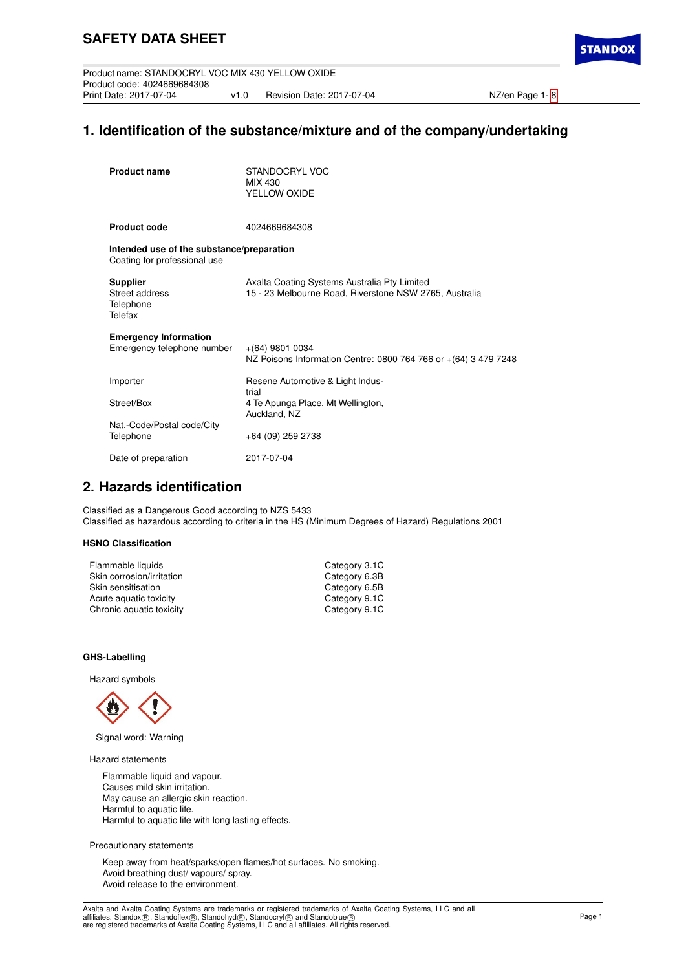Product name: STANDOCRYL VOC MIX 430 YELLOW OXIDE Product code: 4024669684308 v1.0 Revision Date: 2017-07-04 NZ/en Page 1- [8](#page-8-0)

**STANDO** 

# **1. Identification of the substance/mixture and of the company/undertaking**

| <b>Product name</b>                                                       | STANDOCRYL VOC<br>MIX 430<br>YELLOW OXIDE                                                              |
|---------------------------------------------------------------------------|--------------------------------------------------------------------------------------------------------|
| <b>Product code</b>                                                       | 4024669684308                                                                                          |
| Intended use of the substance/preparation<br>Coating for professional use |                                                                                                        |
| <b>Supplier</b><br>Street address<br>Telephone<br>Telefax                 | Axalta Coating Systems Australia Pty Limited<br>15 - 23 Melbourne Road, Riverstone NSW 2765, Australia |
| <b>Emergency Information</b><br>Emergency telephone number                | $+(64)$ 9801 0034<br>NZ Poisons Information Centre: 0800 764 766 or +(64) 3 479 7248                   |
| Importer                                                                  | Resene Automotive & Light Indus-<br>trial                                                              |
| Street/Box                                                                | 4 Te Apunga Place, Mt Wellington,<br>Auckland, NZ                                                      |
| Nat.-Code/Postal code/City<br>Telephone                                   | +64 (09) 259 2738                                                                                      |
| Date of preparation                                                       | 2017-07-04                                                                                             |

## **2. Hazards identification**

Classified as a Dangerous Good according to NZS 5433 Classified as hazardous according to criteria in the HS (Minimum Degrees of Hazard) Regulations 2001

## **HSNO Classification**

| Flammable liquids         | Category 3.1C |
|---------------------------|---------------|
| Skin corrosion/irritation | Category 6.3B |
| Skin sensitisation        | Category 6.5B |
| Acute aquatic toxicity    | Category 9.1C |
| Chronic aquatic toxicity  | Category 9.1C |
|                           |               |

## **GHS-Labelling**

Hazard symbols



Signal word: Warning

Hazard statements

Flammable liquid and vapour. Causes mild skin irritation. May cause an allergic skin reaction. Harmful to aquatic life. Harmful to aquatic life with long lasting effects.

Precautionary statements

Keep away from heat/sparks/open flames/hot surfaces. No smoking. Avoid breathing dust/ vapours/ spray. Avoid release to the environment.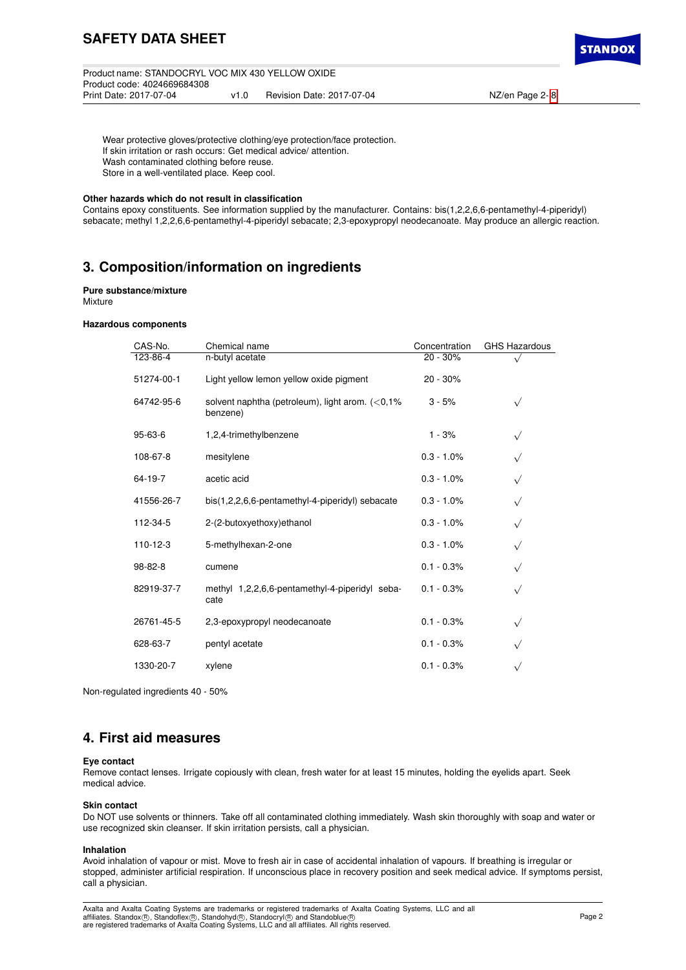**STANDO** 

Wear protective gloves/protective clothing/eye protection/face protection. If skin irritation or rash occurs: Get medical advice/ attention. Wash contaminated clothing before reuse. Store in a well-ventilated place. Keep cool.

## **Other hazards which do not result in classification**

Contains epoxy constituents. See information supplied by the manufacturer. Contains: bis(1,2,2,6,6-pentamethyl-4-piperidyl) sebacate; methyl 1,2,2,6,6-pentamethyl-4-piperidyl sebacate; 2,3-epoxypropyl neodecanoate. May produce an allergic reaction.

# **3. Composition/information on ingredients**

## **Pure substance/mixture**

Mixture

## **Hazardous components**

| CAS-No.        | Chemical name                                                  | Concentration | <b>GHS Hazardous</b> |
|----------------|----------------------------------------------------------------|---------------|----------------------|
| 123-86-4       | n-butyl acetate                                                | $20 - 30%$    |                      |
| 51274-00-1     | Light yellow lemon yellow oxide pigment                        | 20 - 30%      |                      |
| 64742-95-6     | solvent naphtha (petroleum), light arom. $(<0,1\%$<br>benzene) | $3 - 5%$      | $\sqrt{}$            |
| 95-63-6        | 1,2,4-trimethylbenzene                                         | $1 - 3%$      | $\sqrt{}$            |
| 108-67-8       | mesitylene                                                     | $0.3 - 1.0\%$ |                      |
| 64-19-7        | acetic acid                                                    | $0.3 - 1.0\%$ | $\sqrt{}$            |
| 41556-26-7     | bis(1,2,2,6,6-pentamethyl-4-piperidyl) sebacate                | $0.3 - 1.0\%$ | $\sqrt{}$            |
| 112-34-5       | 2-(2-butoxyethoxy)ethanol                                      | $0.3 - 1.0\%$ | $\sqrt{}$            |
| $110 - 12 - 3$ | 5-methylhexan-2-one                                            | $0.3 - 1.0\%$ | $\sqrt{}$            |
| 98-82-8        | cumene                                                         | $0.1 - 0.3%$  | $\sqrt{}$            |
| 82919-37-7     | methyl 1,2,2,6,6-pentamethyl-4-piperidyl seba-<br>cate         | $0.1 - 0.3%$  | $\sqrt{}$            |
| 26761-45-5     | 2,3-epoxypropyl neodecanoate                                   | $0.1 - 0.3%$  | $\sqrt{}$            |
| 628-63-7       | pentyl acetate                                                 | $0.1 - 0.3%$  |                      |
| 1330-20-7      | xylene                                                         | $0.1 - 0.3%$  |                      |

Non-regulated ingredients 40 - 50%

## **4. First aid measures**

#### **Eye contact**

Remove contact lenses. Irrigate copiously with clean, fresh water for at least 15 minutes, holding the eyelids apart. Seek medical advice.

#### **Skin contact**

Do NOT use solvents or thinners. Take off all contaminated clothing immediately. Wash skin thoroughly with soap and water or use recognized skin cleanser. If skin irritation persists, call a physician.

## **Inhalation**

Avoid inhalation of vapour or mist. Move to fresh air in case of accidental inhalation of vapours. If breathing is irregular or stopped, administer artificial respiration. If unconscious place in recovery position and seek medical advice. If symptoms persist, call a physician.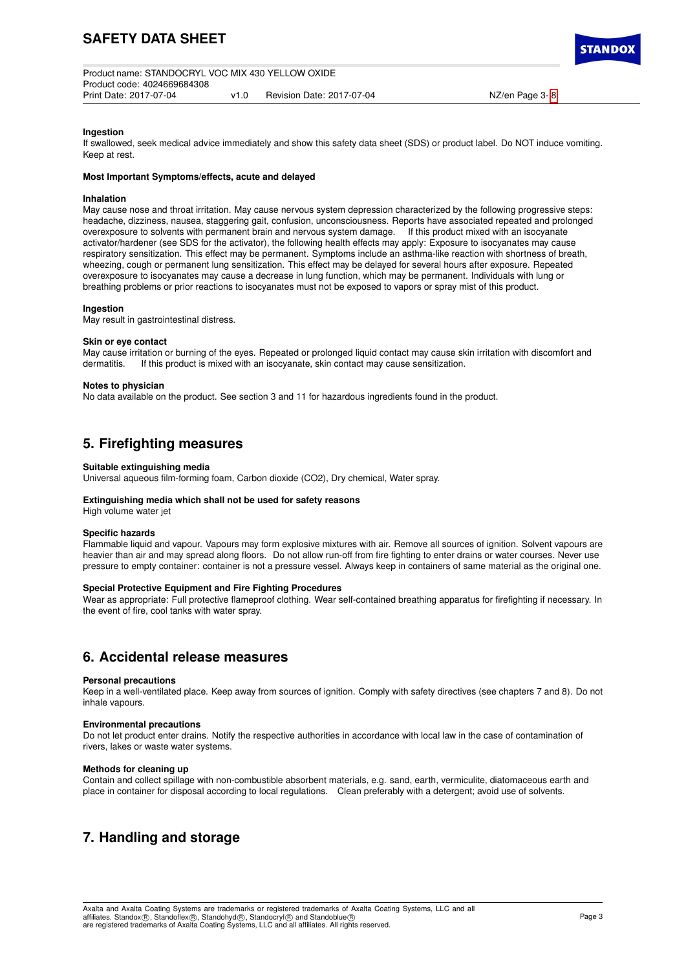

## **Ingestion**

If swallowed, seek medical advice immediately and show this safety data sheet (SDS) or product label. Do NOT induce vomiting. Keep at rest.

## **Most Important Symptoms/effects, acute and delayed**

## **Inhalation**

May cause nose and throat irritation. May cause nervous system depression characterized by the following progressive steps: headache, dizziness, nausea, staggering gait, confusion, unconsciousness. Reports have associated repeated and prolonged overexposure to solvents with permanent brain and nervous system damage. If this product mixed with an isocyanate activator/hardener (see SDS for the activator), the following health effects may apply: Exposure to isocyanates may cause respiratory sensitization. This effect may be permanent. Symptoms include an asthma-like reaction with shortness of breath, wheezing, cough or permanent lung sensitization. This effect may be delayed for several hours after exposure. Repeated overexposure to isocyanates may cause a decrease in lung function, which may be permanent. Individuals with lung or breathing problems or prior reactions to isocyanates must not be exposed to vapors or spray mist of this product.

## **Ingestion**

May result in gastrointestinal distress.

## **Skin or eye contact**

May cause irritation or burning of the eyes. Repeated or prolonged liquid contact may cause skin irritation with discomfort and dermatitis. If this product is mixed with an isocvanate, skin contact may cause sensitization. If this product is mixed with an isocyanate, skin contact may cause sensitization.

## **Notes to physician**

No data available on the product. See section 3 and 11 for hazardous ingredients found in the product.

# **5. Firefighting measures**

## **Suitable extinguishing media**

Universal aqueous film-forming foam, Carbon dioxide (CO2), Dry chemical, Water spray.

## **Extinguishing media which shall not be used for safety reasons**

High volume water jet

## **Specific hazards**

Flammable liquid and vapour. Vapours may form explosive mixtures with air. Remove all sources of ignition. Solvent vapours are heavier than air and may spread along floors. Do not allow run-off from fire fighting to enter drains or water courses. Never use pressure to empty container: container is not a pressure vessel. Always keep in containers of same material as the original one.

## **Special Protective Equipment and Fire Fighting Procedures**

Wear as appropriate: Full protective flameproof clothing. Wear self-contained breathing apparatus for firefighting if necessary. In the event of fire, cool tanks with water spray.

## **6. Accidental release measures**

## **Personal precautions**

Keep in a well-ventilated place. Keep away from sources of ignition. Comply with safety directives (see chapters 7 and 8). Do not inhale vapours.

## **Environmental precautions**

Do not let product enter drains. Notify the respective authorities in accordance with local law in the case of contamination of rivers, lakes or waste water systems.

## **Methods for cleaning up**

Contain and collect spillage with non-combustible absorbent materials, e.g. sand, earth, vermiculite, diatomaceous earth and place in container for disposal according to local regulations. Clean preferably with a detergent; avoid use of solvents.

# **7. Handling and storage**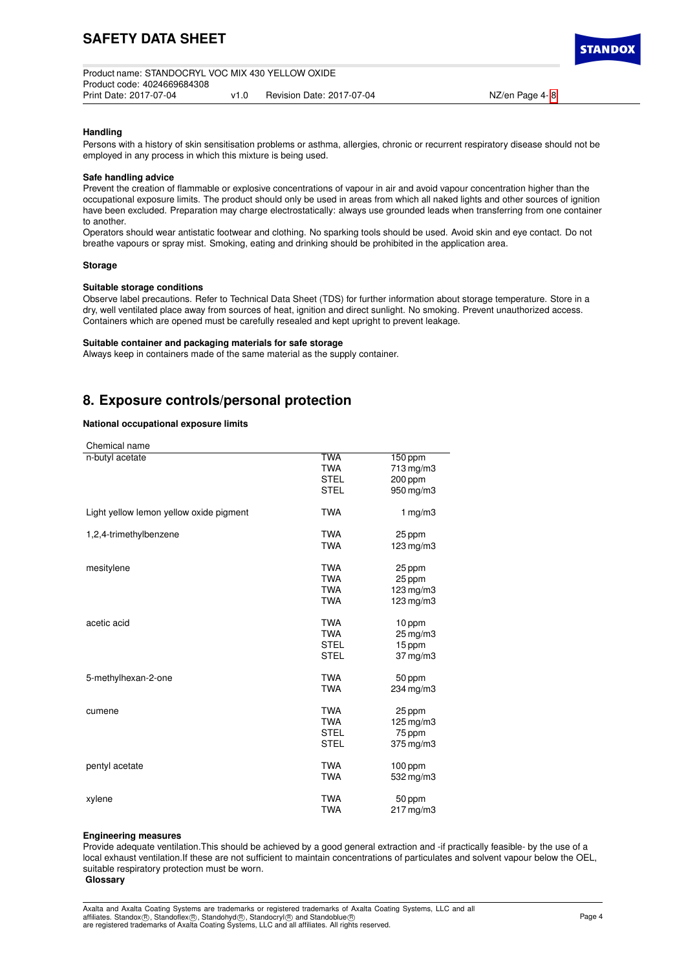TANDO

## **Handling**

Persons with a history of skin sensitisation problems or asthma, allergies, chronic or recurrent respiratory disease should not be employed in any process in which this mixture is being used.

#### **Safe handling advice**

Prevent the creation of flammable or explosive concentrations of vapour in air and avoid vapour concentration higher than the occupational exposure limits. The product should only be used in areas from which all naked lights and other sources of ignition have been excluded. Preparation may charge electrostatically: always use grounded leads when transferring from one container to another.

Operators should wear antistatic footwear and clothing. No sparking tools should be used. Avoid skin and eye contact. Do not breathe vapours or spray mist. Smoking, eating and drinking should be prohibited in the application area.

## **Storage**

## **Suitable storage conditions**

Observe label precautions. Refer to Technical Data Sheet (TDS) for further information about storage temperature. Store in a dry, well ventilated place away from sources of heat, ignition and direct sunlight. No smoking. Prevent unauthorized access. Containers which are opened must be carefully resealed and kept upright to prevent leakage.

#### **Suitable container and packaging materials for safe storage**

Always keep in containers made of the same material as the supply container.

## **8. Exposure controls/personal protection**

## **National occupational exposure limits**

| Chemical name                           |             |                      |
|-----------------------------------------|-------------|----------------------|
| n-butyl acetate                         | <b>TWA</b>  | 150 ppm              |
|                                         | <b>TWA</b>  | 713 mg/m3            |
|                                         | <b>STEL</b> | 200 ppm              |
|                                         | <b>STEL</b> | 950 mg/m3            |
| Light yellow lemon yellow oxide pigment | <b>TWA</b>  | 1 $mg/m3$            |
| 1,2,4-trimethylbenzene                  | <b>TWA</b>  | 25 ppm               |
|                                         | <b>TWA</b>  | 123 mg/m3            |
| mesitylene                              | <b>TWA</b>  | 25 ppm               |
|                                         | <b>TWA</b>  | 25 ppm               |
|                                         | <b>TWA</b>  | 123 mg/m3            |
|                                         | <b>TWA</b>  | $123$ mg/m $3$       |
|                                         |             |                      |
| acetic acid                             | <b>TWA</b>  | 10 ppm               |
|                                         | <b>TWA</b>  | $25 \,\mathrm{mg/m}$ |
|                                         | <b>STEL</b> | 15 ppm               |
|                                         | <b>STEL</b> | $37 \,\mathrm{mg/m}$ |
|                                         |             |                      |
| 5-methylhexan-2-one                     | <b>TWA</b>  | 50 ppm               |
|                                         | <b>TWA</b>  | 234 mg/m3            |
|                                         |             |                      |
| cumene                                  | <b>TWA</b>  | 25 ppm               |
|                                         | <b>TWA</b>  | 125 mg/m3            |
|                                         | <b>STEL</b> | 75 ppm               |
|                                         | <b>STEL</b> | $375$ mg/m $3$       |
|                                         |             |                      |
| pentyl acetate                          | <b>TWA</b>  | 100 ppm              |
|                                         | <b>TWA</b>  | 532 mg/m3            |
| xylene                                  | <b>TWA</b>  | 50 ppm               |
|                                         | <b>TWA</b>  | 217 mg/m3            |
|                                         |             |                      |

#### **Engineering measures**

Provide adequate ventilation.This should be achieved by a good general extraction and -if practically feasible- by the use of a local exhaust ventilation.If these are not sufficient to maintain concentrations of particulates and solvent vapour below the OEL, suitable respiratory protection must be worn.

**Glossary**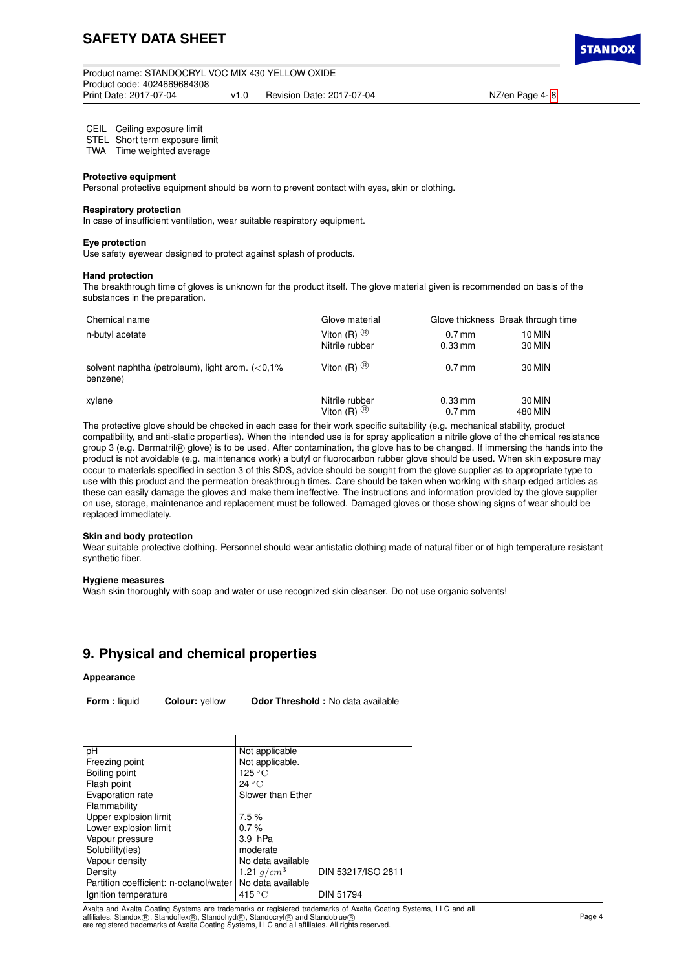

## CEIL Ceiling exposure limit

STEL Short term exposure limit

TWA Time weighted average

## **Protective equipment**

Personal protective equipment should be worn to prevent contact with eyes, skin or clothing.

#### **Respiratory protection**

In case of insufficient ventilation, wear suitable respiratory equipment.

#### **Eye protection**

Use safety eyewear designed to protect against splash of products.

## **Hand protection**

The breakthrough time of gloves is unknown for the product itself. The glove material given is recommended on basis of the substances in the preparation.

| Chemical name                                                  | Glove material          |           | Glove thickness Break through time |
|----------------------------------------------------------------|-------------------------|-----------|------------------------------------|
| n-butyl acetate                                                | Viton $(R)$ $\circledR$ | $0.7$ mm  | 10 MIN                             |
|                                                                | Nitrile rubber          | $0.33$ mm | 30 MIN                             |
| solvent naphtha (petroleum), light arom. $(<0.1\%$<br>benzene) | Viton $(R)$ $(B)$       | $0.7$ mm  | 30 MIN                             |
| xylene                                                         | Nitrile rubber          | $0.33$ mm | 30 MIN                             |
|                                                                | Viton $(R)$ $(B)$       | $0.7$ mm  | 480 MIN                            |

The protective glove should be checked in each case for their work specific suitability (e.g. mechanical stability, product compatibility, and anti-static properties). When the intended use is for spray application a nitrile glove of the chemical resistance group 3 (e.g. Dermatril® glove) is to be used. After contamination, the glove has to be changed. If immersing the hands into the product is not avoidable (e.g. maintenance work) a butyl or fluorocarbon rubber glove should be used. When skin exposure may occur to materials specified in section 3 of this SDS, advice should be sought from the glove supplier as to appropriate type to use with this product and the permeation breakthrough times. Care should be taken when working with sharp edged articles as these can easily damage the gloves and make them ineffective. The instructions and information provided by the glove supplier on use, storage, maintenance and replacement must be followed. Damaged gloves or those showing signs of wear should be replaced immediately.

#### **Skin and body protection**

Wear suitable protective clothing. Personnel should wear antistatic clothing made of natural fiber or of high temperature resistant synthetic fiber.

## **Hygiene measures**

Wash skin thoroughly with soap and water or use recognized skin cleanser. Do not use organic solvents!

# **9. Physical and chemical properties**

## **Appearance**

**Form :** liquid **Colour:** yellow **Odor Threshold :** No data available

| Not applicable            |                    |
|---------------------------|--------------------|
| Not applicable.           |                    |
| $125\,^{\circ}\mathrm{C}$ |                    |
| $24^{\circ}$ C            |                    |
| Slower than Ether         |                    |
|                           |                    |
| 7.5%                      |                    |
| 0.7%                      |                    |
| $3.9$ hPa                 |                    |
| moderate                  |                    |
| No data available         |                    |
| 1.21 $q/cm^3$             | DIN 53217/ISO 2811 |
| No data available         |                    |
| $415\,^{\circ}\mathrm{C}$ | <b>DIN 51794</b>   |
|                           |                    |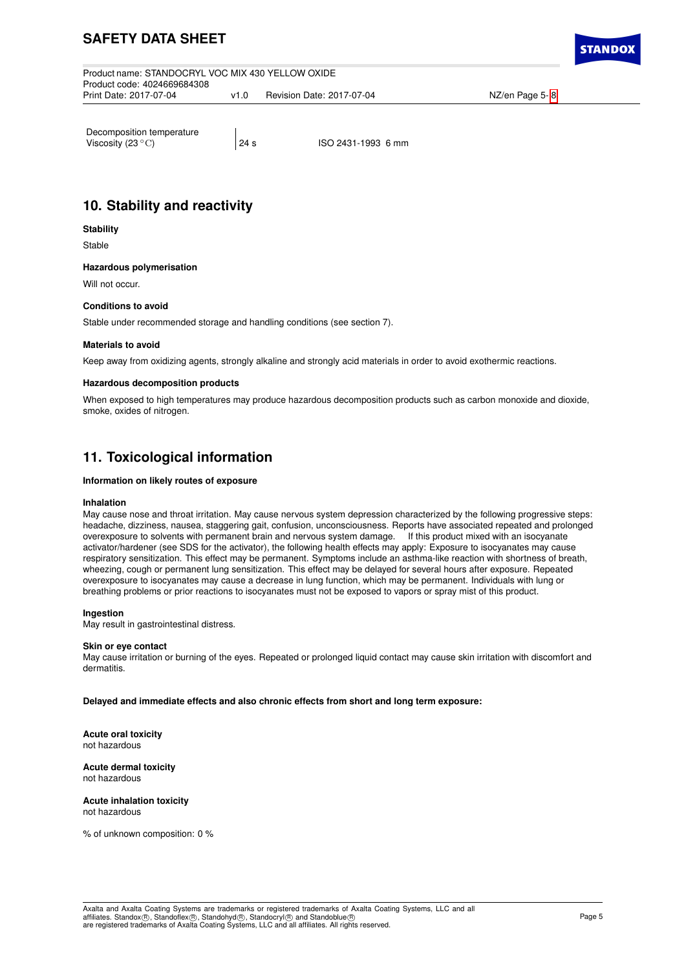# **SAFETY DATA SHEET**

Product name: STANDOCRYL VOC MIX 430 YELLOW OXIDE Product code: 4024669684308 v1.0 Revision Date: 2017-07-04 NZ/en Page 5- [8](#page-8-0)

CTANDO

Decomposition temperature<br>Viscosity (23 $^{\circ}$ C)

24 s ISO 2431-1993 6 mm

# **10. Stability and reactivity**

## **Stability**

Stable

## **Hazardous polymerisation**

Will not occur.

## **Conditions to avoid**

Stable under recommended storage and handling conditions (see section 7).

## **Materials to avoid**

Keep away from oxidizing agents, strongly alkaline and strongly acid materials in order to avoid exothermic reactions.

## **Hazardous decomposition products**

When exposed to high temperatures may produce hazardous decomposition products such as carbon monoxide and dioxide, smoke, oxides of nitrogen.

# **11. Toxicological information**

## **Information on likely routes of exposure**

## **Inhalation**

May cause nose and throat irritation. May cause nervous system depression characterized by the following progressive steps: headache, dizziness, nausea, staggering gait, confusion, unconsciousness. Reports have associated repeated and prolonged<br>overexposure to solvents with permanent brain and nervous system damage. If this product mixed with a overexposure to solvents with permanent brain and nervous system damage. activator/hardener (see SDS for the activator), the following health effects may apply: Exposure to isocyanates may cause respiratory sensitization. This effect may be permanent. Symptoms include an asthma-like reaction with shortness of breath, wheezing, cough or permanent lung sensitization. This effect may be delayed for several hours after exposure. Repeated overexposure to isocyanates may cause a decrease in lung function, which may be permanent. Individuals with lung or breathing problems or prior reactions to isocyanates must not be exposed to vapors or spray mist of this product.

## **Ingestion**

May result in gastrointestinal distress.

## **Skin or eye contact**

May cause irritation or burning of the eyes. Repeated or prolonged liquid contact may cause skin irritation with discomfort and dermatitis.

**Delayed and immediate effects and also chronic effects from short and long term exposure:**

**Acute oral toxicity** not hazardous

#### **Acute dermal toxicity** not hazardous

**Acute inhalation toxicity** not hazardous

% of unknown composition: 0 %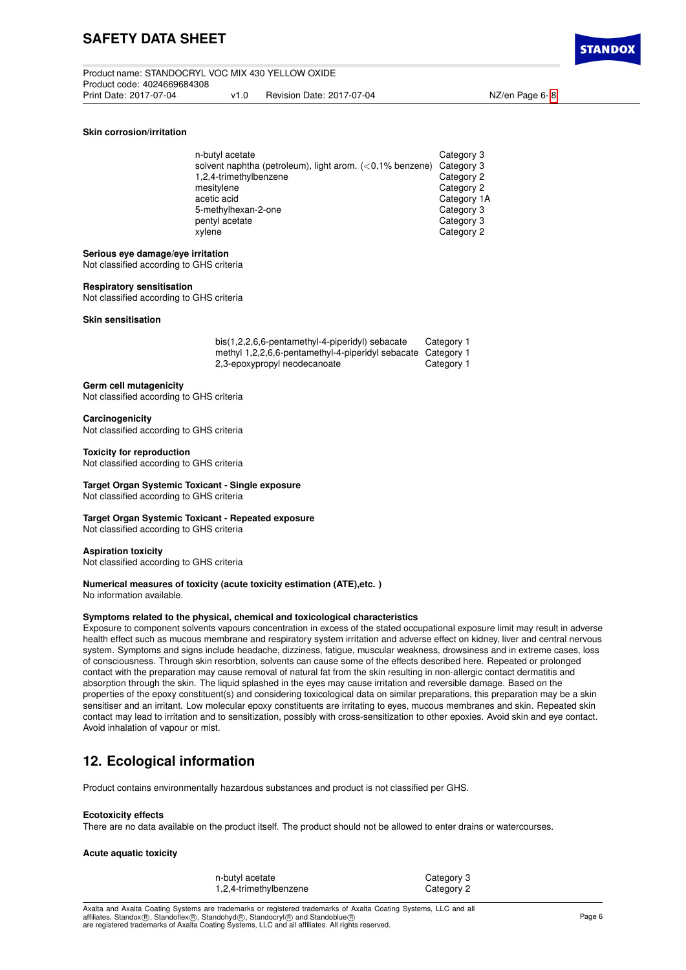# **SAFETY DATA SHEET**

#### **Skin corrosion/irritation**

| Category 3                                                             |
|------------------------------------------------------------------------|
| solvent naphtha (petroleum), light arom. $(<0.1\%$ benzene) Category 3 |
| Category 2                                                             |
| Category 2                                                             |
| Category 1A                                                            |
| Category 3                                                             |
| Category 3                                                             |
| Category 2                                                             |
|                                                                        |

#### **Serious eye damage/eye irritation**

Not classified according to GHS criteria

#### **Respiratory sensitisation**

Not classified according to GHS criteria

## **Skin sensitisation**

| bis(1,2,2,6,6-pentamethyl-4-piperidyl) sebacate              | Category 1 |
|--------------------------------------------------------------|------------|
| methyl 1,2,2,6,6-pentamethyl-4-piperidyl sebacate Category 1 |            |
| 2,3-epoxypropyl neodecanoate                                 | Category 1 |

#### **Germ cell mutagenicity**

Not classified according to GHS criteria

#### **Carcinogenicity**

Not classified according to GHS criteria

#### **Toxicity for reproduction**

Not classified according to GHS criteria

## **Target Organ Systemic Toxicant - Single exposure**

Not classified according to GHS criteria

#### **Target Organ Systemic Toxicant - Repeated exposure**

Not classified according to GHS criteria

## **Aspiration toxicity**

Not classified according to GHS criteria

## **Numerical measures of toxicity (acute toxicity estimation (ATE),etc. )**

No information available.

## **Symptoms related to the physical, chemical and toxicological characteristics**

Exposure to component solvents vapours concentration in excess of the stated occupational exposure limit may result in adverse health effect such as mucous membrane and respiratory system irritation and adverse effect on kidney, liver and central nervous system. Symptoms and signs include headache, dizziness, fatigue, muscular weakness, drowsiness and in extreme cases, loss of consciousness. Through skin resorbtion, solvents can cause some of the effects described here. Repeated or prolonged contact with the preparation may cause removal of natural fat from the skin resulting in non-allergic contact dermatitis and absorption through the skin. The liquid splashed in the eyes may cause irritation and reversible damage. Based on the properties of the epoxy constituent(s) and considering toxicological data on similar preparations, this preparation may be a skin sensitiser and an irritant. Low molecular epoxy constituents are irritating to eyes, mucous membranes and skin. Repeated skin contact may lead to irritation and to sensitization, possibly with cross-sensitization to other epoxies. Avoid skin and eye contact. Avoid inhalation of vapour or mist.

# **12. Ecological information**

Product contains environmentally hazardous substances and product is not classified per GHS.

#### **Ecotoxicity effects**

There are no data available on the product itself. The product should not be allowed to enter drains or watercourses.

## **Acute aquatic toxicity**

| n-butyl acetate        |  |
|------------------------|--|
| 1,2,4-trimethylbenzene |  |

Category 3 Category 2

Axalta and Axalta Coating Systems are trademarks or registered trademarks of Axalta Coating Systems, LLC and all affiliates. Standox®, Standoflex®, Standohyd®, Standocryl® and Standoblue®<br>are registered trademarks of Axalta Coating Systems, LLC and all affiliates. All rights reserved.

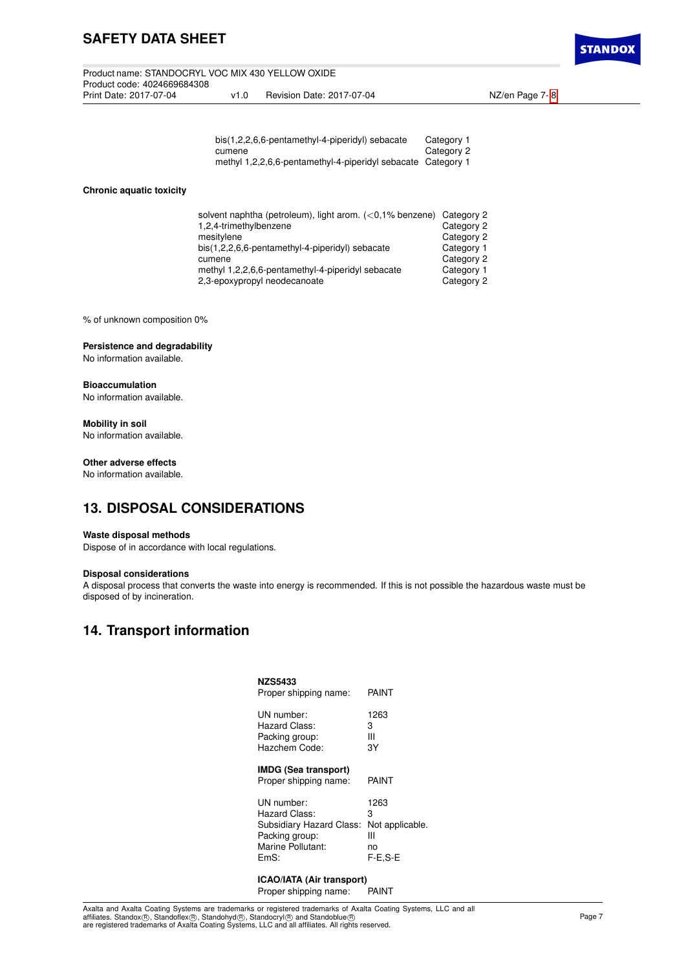# **SAFETY DATA SHEET**

Product name: STANDOCRYL VOC MIX 430 YELLOW OXIDE Product code: 4024669684308 v1.0 Revision Date: 2017-07-04 NZ/en Page 7- [8](#page-8-0)

**STANDO)** 

| bis(1,2,2,6,6-pentamethyl-4-piperidyl) sebacate              | Category 1 |
|--------------------------------------------------------------|------------|
| cumene                                                       | Category 2 |
| methyl 1,2,2,6,6-pentamethyl-4-piperidyl sebacate Category 1 |            |

## **Chronic aquatic toxicity**

| solvent naphtha (petroleum), light arom. $(<0.1\%$ benzene) Category 2 |            |
|------------------------------------------------------------------------|------------|
| 1,2,4-trimethylbenzene                                                 | Category 2 |
| mesitylene                                                             | Category 2 |
| bis(1,2,2,6,6-pentamethyl-4-piperidyl) sebacate                        | Category 1 |
| cumene                                                                 | Category 2 |
| methyl 1,2,2,6,6-pentamethyl-4-piperidyl sebacate                      | Category 1 |
| 2.3-epoxypropyl neodecanoate                                           | Category 2 |

% of unknown composition 0%

## **Persistence and degradability** No information available.

# **Bioaccumulation**

No information available.

## **Mobility in soil**

No information available.

## **Other adverse effects**

No information available.

# **13. DISPOSAL CONSIDERATIONS**

## **Waste disposal methods**

Dispose of in accordance with local regulations.

## **Disposal considerations**

A disposal process that converts the waste into energy is recommended. If this is not possible the hazardous waste must be disposed of by incineration.

# **14. Transport information**

| <b>NZS5433</b><br>Proper shipping name:              | PAINT           |
|------------------------------------------------------|-----------------|
| UN number:                                           | 1263            |
| Hazard Class:                                        | 3               |
| Packing group:                                       | Ш               |
| Hazchem Code:                                        | 3Y              |
| <b>IMDG (Sea transport)</b><br>Proper shipping name: | PAINT           |
| UN number:                                           | 1263            |
| Hazard Class:                                        | 3               |
| Subsidiary Hazard Class:                             | Not applicable. |
| Packing group:                                       | Ш               |
| Marine Pollutant:                                    | no              |
| EmS:                                                 | $F-E.S-E$       |

#### **ICAO/IATA (Air transport)** Proper shipping name: